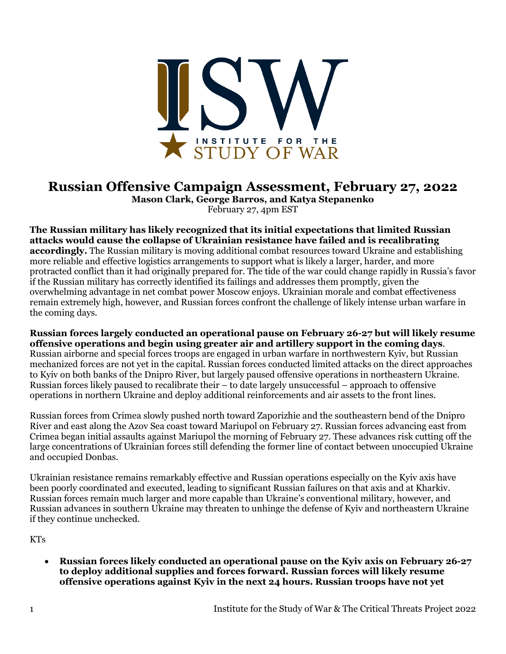

## **Russian Offensive Campaign Assessment, February 27, 2022**

**Mason Clark, George Barros, and Katya Stepanenko** February 27, 4pm EST

**The Russian military has likely recognized that its initial expectations that limited Russian attacks would cause the collapse of Ukrainian resistance have failed and is recalibrating accordingly.** The Russian military is moving additional combat resources toward Ukraine and establishing more reliable and effective logistics arrangements to support what is likely a larger, harder, and more protracted conflict than it had originally prepared for. The tide of the war could change rapidly in Russia's favor if the Russian military has correctly identified its failings and addresses them promptly, given the overwhelming advantage in net combat power Moscow enjoys. Ukrainian morale and combat effectiveness remain extremely high, however, and Russian forces confront the challenge of likely intense urban warfare in the coming days.

**Russian forces largely conducted an operational pause on February 26-27 but will likely resume offensive operations and begin using greater air and artillery support in the coming days**. Russian airborne and special forces troops are engaged in urban warfare in northwestern Kyiv, but Russian mechanized forces are not yet in the capital. Russian forces conducted limited attacks on the direct approaches to Kyiv on both banks of the Dnipro River, but largely paused offensive operations in northeastern Ukraine. Russian forces likely paused to recalibrate their – to date largely unsuccessful – approach to offensive operations in northern Ukraine and deploy additional reinforcements and air assets to the front lines.

Russian forces from Crimea slowly pushed north toward Zaporizhie and the southeastern bend of the Dnipro River and east along the Azov Sea coast toward Mariupol on February 27. Russian forces advancing east from Crimea began initial assaults against Mariupol the morning of February 27. These advances risk cutting off the large concentrations of Ukrainian forces still defending the former line of contact between unoccupied Ukraine and occupied Donbas.

Ukrainian resistance remains remarkably effective and Russian operations especially on the Kyiv axis have been poorly coordinated and executed, leading to significant Russian failures on that axis and at Kharkiv. Russian forces remain much larger and more capable than Ukraine's conventional military, however, and Russian advances in southern Ukraine may threaten to unhinge the defense of Kyiv and northeastern Ukraine if they continue unchecked.

KTs

• **Russian forces likely conducted an operational pause on the Kyiv axis on February 26-27 to deploy additional supplies and forces forward. Russian forces will likely resume offensive operations against Kyiv in the next 24 hours. Russian troops have not yet**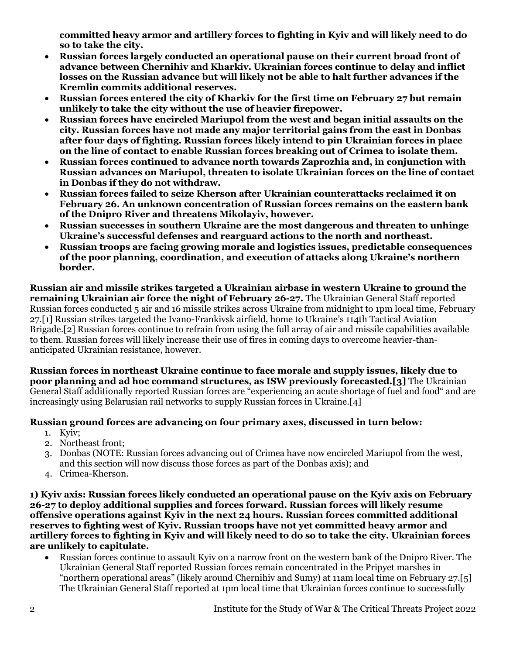**committed heavy armor and artillery forces to fighting in Kyiv and will likely need to do so to take the city.**

- **Russian forces largely conducted an operational pause on their current broad front of advance between Chernihiv and Kharkiv. Ukrainian forces continue to delay and inflict losses on the Russian advance but will likely not be able to halt further advances if the Kremlin commits additional reserves.**
- **Russian forces entered the city of Kharkiv for the first time on February 27 but remain unlikely to take the city without the use of heavier firepower.**
- **Russian forces have encircled Mariupol from the west and began initial assaults on the city. Russian forces have not made any major territorial gains from the east in Donbas after four days of fighting. Russian forces likely intend to pin Ukrainian forces in place on the line of contact to enable Russian forces breaking out of Crimea to isolate them.**
- **Russian forces continued to advance north towards Zaprozhia and, in conjunction with Russian advances on Mariupol, threaten to isolate Ukrainian forces on the line of contact in Donbas if they do not withdraw.**
- **Russian forces failed to seize Kherson after Ukrainian counterattacks reclaimed it on February 26. An unknown concentration of Russian forces remains on the eastern bank of the Dnipro River and threatens Mikolayiv, however.**
- **Russian successes in southern Ukraine are the most dangerous and threaten to unhinge Ukraine's successful defenses and rearguard actions to the north and northeast.**
- **Russian troops are facing growing morale and logistics issues, predictable consequences of the poor planning, coordination, and execution of attacks along Ukraine's northern border.**

**Russian air and missile strikes targeted a Ukrainian airbase in western Ukraine to ground the remaining Ukrainian air force the night of February 26-27.** The Ukrainian General Staff reported Russian forces conducted 5 air and 16 missile strikes across Ukraine from midnight to 1pm local time, February 27.[1] Russian strikes targeted the Ivano-Frankivsk airfield, home to Ukraine's 114th Tactical Aviation Brigade.[2] Russian forces continue to refrain from using the full array of air and missile capabilities available to them. Russian forces will likely increase their use of fires in coming days to overcome heavier-thananticipated Ukrainian resistance, however.

**Russian forces in northeast Ukraine continue to face morale and supply issues, likely due to poor planning and ad hoc command structures, as ISW previously forecasted.[3]** The Ukrainian General Staff additionally reported Russian forces are "experiencing an acute shortage of fuel and food" and are increasingly using Belarusian rail networks to supply Russian forces in Ukraine.[4]

## **Russian ground forces are advancing on four primary axes, discussed in turn below:**

- 1. Kyiv;
- 2. Northeast front;
- 3. Donbas (NOTE: Russian forces advancing out of Crimea have now encircled Mariupol from the west, and this section will now discuss those forces as part of the Donbas axis); and
- 4. Crimea-Kherson.

**1) Kyiv axis: Russian forces likely conducted an operational pause on the Kyiv axis on February 26-27 to deploy additional supplies and forces forward. Russian forces will likely resume offensive operations against Kyiv in the next 24 hours. Russian forces committed additional reserves to fighting west of Kyiv. Russian troops have not yet committed heavy armor and artillery forces to fighting in Kyiv and will likely need to do so to take the city. Ukrainian forces are unlikely to capitulate.**

• Russian forces continue to assault Kyiv on a narrow front on the western bank of the Dnipro River. The Ukrainian General Staff reported Russian forces remain concentrated in the Pripyet marshes in "northern operational areas" (likely around Chernihiv and Sumy) at 11am local time on February 27.[5] The Ukrainian General Staff reported at 1pm local time that Ukrainian forces continue to successfully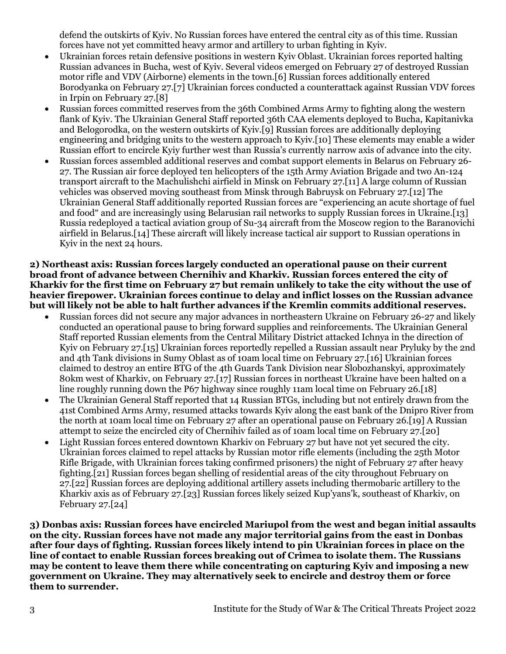defend the outskirts of Kyiv. No Russian forces have entered the central city as of this time. Russian forces have not yet committed heavy armor and artillery to urban fighting in Kyiv.

- Ukrainian forces retain defensive positions in western Kyiv Oblast. Ukrainian forces reported halting Russian advances in Bucha, west of Kyiv. Several videos emerged on February 27 of destroyed Russian motor rifle and VDV (Airborne) elements in the town.[6] Russian forces additionally entered Borodyanka on February 27.[7] Ukrainian forces conducted a counterattack against Russian VDV forces in Irpin on February 27.[8]
- Russian forces committed reserves from the 36th Combined Arms Army to fighting along the western flank of Kyiv. The Ukrainian General Staff reported 36th CAA elements deployed to Bucha, Kapitanivka and Belogorodka, on the western outskirts of Kyiv.[9] Russian forces are additionally deploying engineering and bridging units to the western approach to Kyiv.[10] These elements may enable a wider Russian effort to encircle Kyiy further west than Russia's currently narrow axis of advance into the city.
- Russian forces assembled additional reserves and combat support elements in Belarus on February 26- 27. The Russian air force deployed ten helicopters of the 15th Army Aviation Brigade and two An-124 transport aircraft to the Machulishchi airfield in Minsk on February 27.[11] A large column of Russian vehicles was observed moving southeast from Minsk through Babruysk on February 27.[12] The Ukrainian General Staff additionally reported Russian forces are "experiencing an acute shortage of fuel and food" and are increasingly using Belarusian rail networks to supply Russian forces in Ukraine.[13] Russia redeployed a tactical aviation group of Su-34 aircraft from the Moscow region to the Baranovichi airfield in Belarus.[14] These aircraft will likely increase tactical air support to Russian operations in Kyiv in the next 24 hours.

**2) Northeast axis: Russian forces largely conducted an operational pause on their current broad front of advance between Chernihiv and Kharkiv. Russian forces entered the city of Kharkiv for the first time on February 27 but remain unlikely to take the city without the use of heavier firepower. Ukrainian forces continue to delay and inflict losses on the Russian advance but will likely not be able to halt further advances if the Kremlin commits additional reserves.**

- Russian forces did not secure any major advances in northeastern Ukraine on February 26-27 and likely conducted an operational pause to bring forward supplies and reinforcements. The Ukrainian General Staff reported Russian elements from the Central Military District attacked Ichnya in the direction of Kyiv on February 27.[15] Ukrainian forces reportedly repelled a Russian assault near Pryluky by the 2nd and 4th Tank divisions in Sumy Oblast as of 10am local time on February 27.[16] Ukrainian forces claimed to destroy an entire BTG of the 4th Guards Tank Division near Slobozhanskyi, approximately 80km west of Kharkiv, on February 27.[17] Russian forces in northeast Ukraine have been halted on a line roughly running down the P67 highway since roughly 11am local time on February 26.[18]
- The Ukrainian General Staff reported that 14 Russian BTGs, including but not entirely drawn from the 41st Combined Arms Army, resumed attacks towards Kyiv along the east bank of the Dnipro River from the north at 10am local time on February 27 after an operational pause on February 26.[19] A Russian attempt to seize the encircled city of Chernihiv failed as of 10am local time on February 27.[20]
- Light Russian forces entered downtown Kharkiy on February 27 but have not yet secured the city. Ukrainian forces claimed to repel attacks by Russian motor rifle elements (including the 25th Motor Rifle Brigade, with Ukrainian forces taking confirmed prisoners) the night of February 27 after heavy fighting.[21] Russian forces began shelling of residential areas of the city throughout February on 27.[22] Russian forces are deploying additional artillery assets including thermobaric artillery to the Kharkiv axis as of February 27.[23] Russian forces likely seized Kup'yans'k, southeast of Kharkiv, on February 27.[24]

**3) Donbas axis: Russian forces have encircled Mariupol from the west and began initial assaults on the city. Russian forces have not made any major territorial gains from the east in Donbas after four days of fighting. Russian forces likely intend to pin Ukrainian forces in place on the line of contact to enable Russian forces breaking out of Crimea to isolate them. The Russians may be content to leave them there while concentrating on capturing Kyiv and imposing a new government on Ukraine. They may alternatively seek to encircle and destroy them or force them to surrender.**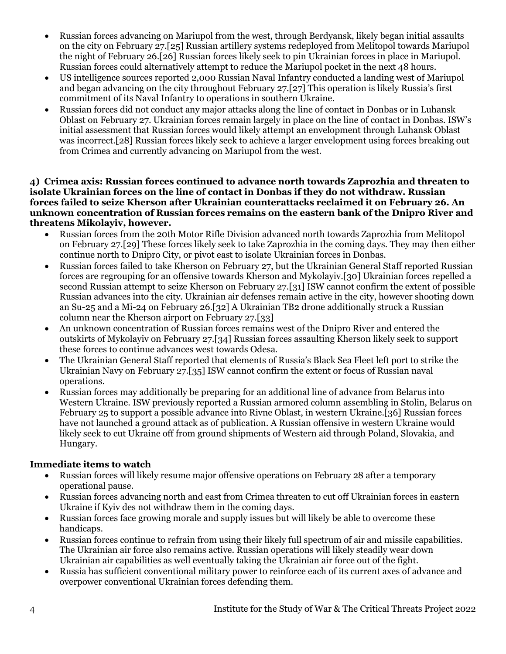- Russian forces advancing on Mariupol from the west, through Berdyansk, likely began initial assaults on the city on February 27.[25] Russian artillery systems redeployed from Melitopol towards Mariupol the night of February 26.[26] Russian forces likely seek to pin Ukrainian forces in place in Mariupol. Russian forces could alternatively attempt to reduce the Mariupol pocket in the next 48 hours.
- US intelligence sources reported 2,000 Russian Naval Infantry conducted a landing west of Mariupol and began advancing on the city throughout February 27.[27] This operation is likely Russia's first commitment of its Naval Infantry to operations in southern Ukraine.
- Russian forces did not conduct any major attacks along the line of contact in Donbas or in Luhansk Oblast on February 27. Ukrainian forces remain largely in place on the line of contact in Donbas. ISW's initial assessment that Russian forces would likely attempt an envelopment through Luhansk Oblast was incorrect.[28] Russian forces likely seek to achieve a larger envelopment using forces breaking out from Crimea and currently advancing on Mariupol from the west.

**4) Crimea axis: Russian forces continued to advance north towards Zaprozhia and threaten to isolate Ukrainian forces on the line of contact in Donbas if they do not withdraw. Russian forces failed to seize Kherson after Ukrainian counterattacks reclaimed it on February 26. An unknown concentration of Russian forces remains on the eastern bank of the Dnipro River and threatens Mikolayiv, however.**

- Russian forces from the 20th Motor Rifle Division advanced north towards Zaprozhia from Melitopol on February 27.[29] These forces likely seek to take Zaprozhia in the coming days. They may then either continue north to Dnipro City, or pivot east to isolate Ukrainian forces in Donbas.
- Russian forces failed to take Kherson on February 27, but the Ukrainian General Staff reported Russian forces are regrouping for an offensive towards Kherson and Mykolayiv.[30] Ukrainian forces repelled a second Russian attempt to seize Kherson on February 27.[31] ISW cannot confirm the extent of possible Russian advances into the city. Ukrainian air defenses remain active in the city, however shooting down an Su-25 and a Mi-24 on February 26.[32] A Ukrainian TB2 drone additionally struck a Russian column near the Kherson airport on February 27.[33]
- An unknown concentration of Russian forces remains west of the Dnipro River and entered the outskirts of Mykolayiv on February 27.[34] Russian forces assaulting Kherson likely seek to support these forces to continue advances west towards Odesa.
- The Ukrainian General Staff reported that elements of Russia's Black Sea Fleet left port to strike the Ukrainian Navy on February 27.[35] ISW cannot confirm the extent or focus of Russian naval operations.
- Russian forces may additionally be preparing for an additional line of advance from Belarus into Western Ukraine. ISW previously reported a Russian armored column assembling in Stolin, Belarus on February 25 to support a possible advance into Rivne Oblast, in western Ukraine.[36] Russian forces have not launched a ground attack as of publication. A Russian offensive in western Ukraine would likely seek to cut Ukraine off from ground shipments of Western aid through Poland, Slovakia, and Hungary.

## **Immediate items to watch**

- Russian forces will likely resume major offensive operations on February 28 after a temporary operational pause.
- Russian forces advancing north and east from Crimea threaten to cut off Ukrainian forces in eastern Ukraine if Kyiv des not withdraw them in the coming days.
- Russian forces face growing morale and supply issues but will likely be able to overcome these handicaps.
- Russian forces continue to refrain from using their likely full spectrum of air and missile capabilities. The Ukrainian air force also remains active. Russian operations will likely steadily wear down Ukrainian air capabilities as well eventually taking the Ukrainian air force out of the fight.
- Russia has sufficient conventional military power to reinforce each of its current axes of advance and overpower conventional Ukrainian forces defending them.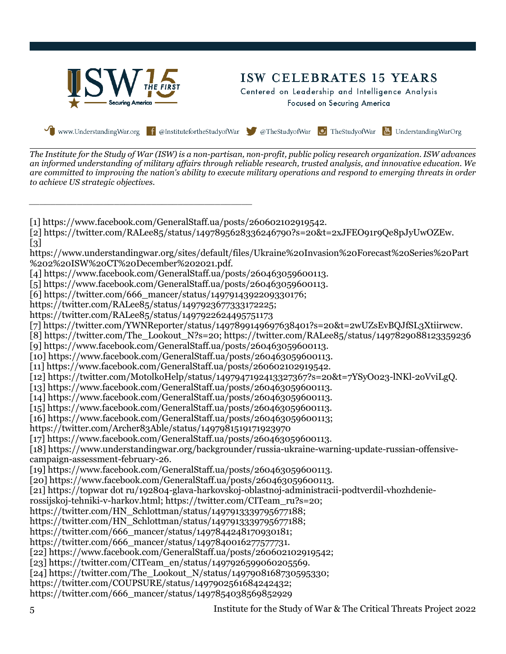

*The Institute for the Study of War (ISW) is a non-partisan, non-profit, public policy research organization. ISW advances an informed understanding of military affairs through reliable research, trusted analysis, and innovative education. We are committed to improving the nation's ability to execute military operations and respond to emerging threats in order to achieve US strategic objectives.*

*\_\_\_\_\_\_\_\_\_\_\_\_\_\_\_\_\_\_\_\_\_\_\_\_\_\_\_\_\_\_\_\_\_\_\_\_\_\_\_\_\_\_*

[1] https://www.facebook.com/GeneralStaff.ua/posts/260602102919542. [2] https://twitter.com/RALee85/status/1497895628336246790?s=20&t=2xJFEO91r9Qe8pJyUwOZEw. [3] https://www.understandingwar.org/sites/default/files/Ukraine%20Invasion%20Forecast%20Series%20Part %202%20ISW%20CT%20December%202021.pdf. [4] https://www.facebook.com/GeneralStaff.ua/posts/260463059600113. [5] https://www.facebook.com/GeneralStaff.ua/posts/260463059600113. [6] https://twitter.com/666\_mancer/status/1497914392209330176; https://twitter.com/RALee85/status/1497923677333172225; https://twitter.com/RALee85/status/1497922624495751173 [7] https://twitter.com/YWNReporter/status/1497899149697638401?s=20&t=2wUZsEvBQJfSL3Xtiirwcw. [8] https://twitter.com/The\_Lookout\_N?s=20; https://twitter.com/RALee85/status/1497829088123359236 [9] https://www.facebook.com/GeneralStaff.ua/posts/260463059600113. [10] https://www.facebook.com/GeneralStaff.ua/posts/260463059600113. [11] https://www.facebook.com/GeneralStaff.ua/posts/260602102919542. [12] https://twitter.com/MotolkoHelp/status/1497947192413327367?s=20&t=7YSyO023-lNKl-2oVviLgQ. [13] https://www.facebook.com/GeneralStaff.ua/posts/260463059600113. [14] https://www.facebook.com/GeneralStaff.ua/posts/260463059600113. [15] https://www.facebook.com/GeneralStaff.ua/posts/260463059600113. [16] https://www.facebook.com/GeneralStaff.ua/posts/260463059600113; https://twitter.com/Archer83Able/status/1497981519171923970 [17] https://www.facebook.com/GeneralStaff.ua/posts/260463059600113. [18] https://www.understandingwar.org/backgrounder/russia-ukraine-warning-update-russian-offensivecampaign-assessment-february-26. [19] https://www.facebook.com/GeneralStaff.ua/posts/260463059600113. [20] https://www.facebook.com/GeneralStaff.ua/posts/260463059600113. [21] https://topwar dot ru/192804-glava-harkovskoj-oblastnoj-administracii-podtverdil-vhozhdenierossijskoj-tehniki-v-harkov.html; https://twitter.com/CITeam\_ru?s=20; https://twitter.com/HN\_Schlottman/status/1497913339795677188; https://twitter.com/HN\_Schlottman/status/1497913339795677188; https://twitter.com/666\_mancer/status/1497844248170930181; https://twitter.com/666\_mancer/status/1497840016277577731. [22] https://www.facebook.com/GeneralStaff.ua/posts/260602102919542; [23] https://twitter.com/CITeam\_en/status/1497926599060205569. [24] https://twitter.com/The\_Lookout\_N/status/1497908168730595330; https://twitter.com/COUPSURE/status/1497902561684242432; https://twitter.com/666\_mancer/status/1497854038569852929